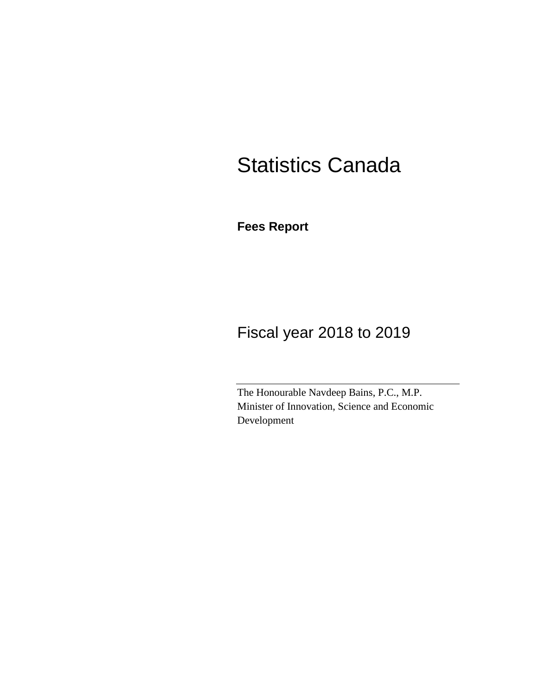# Statistics Canada

**Fees Report**

Fiscal year 2018 to 2019

The Honourable Navdeep Bains, P.C., M.P. Minister of Innovation, Science and Economic Development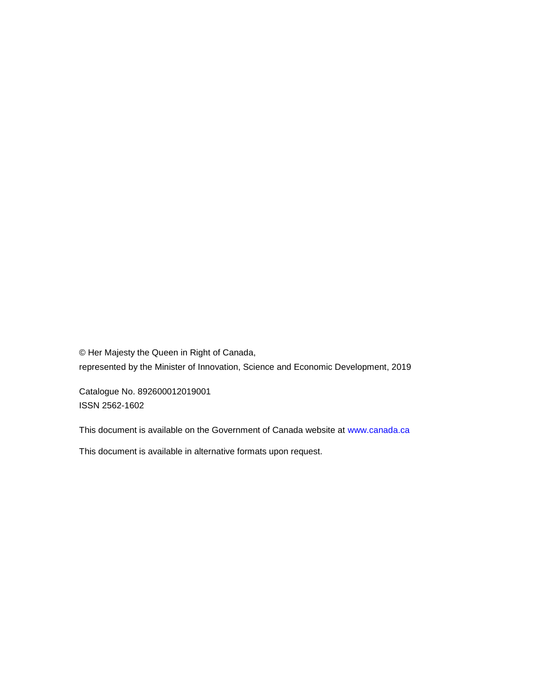© Her Majesty the Queen in Right of Canada, represented by the Minister of Innovation, Science and Economic Development, 2019

Catalogue No. 892600012019001 ISSN 2562-1602

This document is available on the Government of Canada website at [www.canada.ca](https://www.canada.ca/home.html)

This document is available in alternative formats upon request.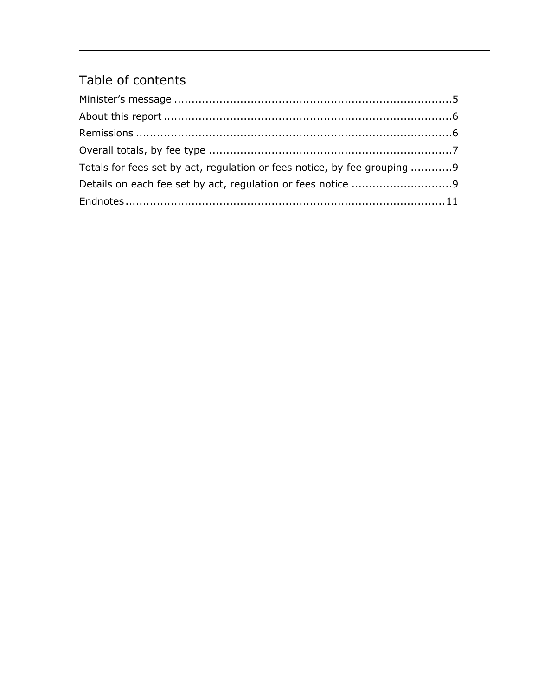### Table of contents

| Totals for fees set by act, regulation or fees notice, by fee grouping 9 |  |
|--------------------------------------------------------------------------|--|
|                                                                          |  |
|                                                                          |  |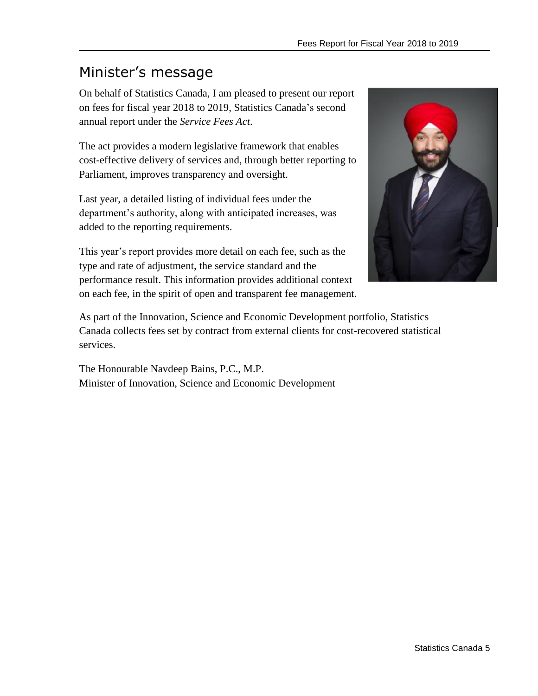### <span id="page-4-0"></span>Minister's message

On behalf of Statistics Canada, I am pleased to present our report on fees for fiscal year 2018 to 2019, Statistics Canada's second annual report under the *Service Fees Act*.

The act provides a modern legislative framework that enables cost-effective delivery of services and, through better reporting to Parliament, improves transparency and oversight.

Last year, a detailed listing of individual fees under the department's authority, along with anticipated increases, was added to the reporting requirements.

This year's report provides more detail on each fee, such as the type and rate of adjustment, the service standard and the performance result. This information provides additional context on each fee, in the spirit of open and transparent fee management.



As part of the Innovation, Science and Economic Development portfolio, Statistics Canada collects fees set by contract from external clients for cost-recovered statistical services.

The Honourable Navdeep Bains, P.C., M.P. Minister of Innovation, Science and Economic Development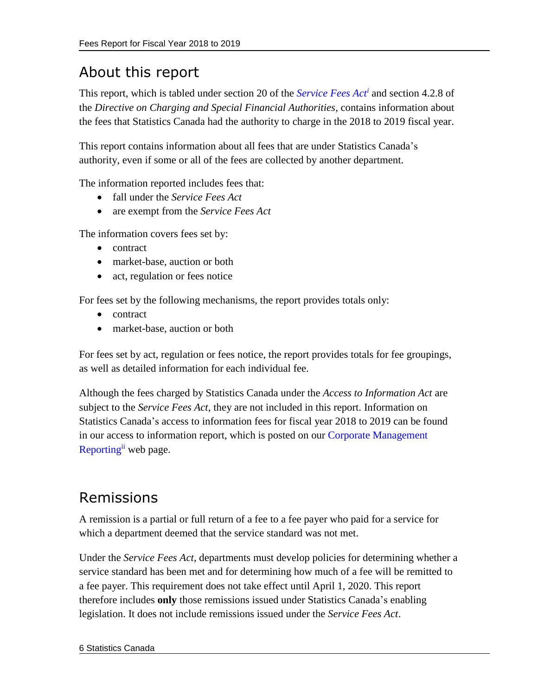### <span id="page-5-0"></span>About this report

This report, which is tabled under section 20 of the *[Service Fees Act](https://laws-lois.justice.gc.ca/eng/acts/S-8.4/index.html)<sup>i</sup>* and section 4.2.8 of the *Directive on Charging and Special Financial Authorities*, contains information about the fees that Statistics Canada had the authority to charge in the 2018 to 2019 fiscal year.

This report contains information about all fees that are under Statistics Canada's authority, even if some or all of the fees are collected by another department.

The information reported includes fees that:

- fall under the *Service Fees Act*
- are exempt from the *Service Fees Act*

The information covers fees set by:

- contract
- market-base, auction or both
- act, regulation or fees notice

For fees set by the following mechanisms, the report provides totals only:

- contract
- market-base, auction or both

For fees set by act, regulation or fees notice, the report provides totals for fee groupings, as well as detailed information for each individual fee.

Although the fees charged by Statistics Canada under the *Access to Information Act* are subject to the *Service Fees Act*, they are not included in this report. Information on Statistics Canada's access to information fees for fiscal year 2018 to 2019 can be found in our access to information report, which is posted on our [Corporate Management](https://www.statcan.gc.ca/eng/about/reports2)  [Reporting](https://www.statcan.gc.ca/eng/about/reports2)<sup>ii</sup> web page.

### <span id="page-5-1"></span>Remissions

A remission is a partial or full return of a fee to a fee payer who paid for a service for which a department deemed that the service standard was not met.

Under the *Service Fees Act*, departments must develop policies for determining whether a service standard has been met and for determining how much of a fee will be remitted to a fee payer. This requirement does not take effect until April 1, 2020. This report therefore includes **only** those remissions issued under Statistics Canada's enabling legislation. It does not include remissions issued under the *Service Fees Act*.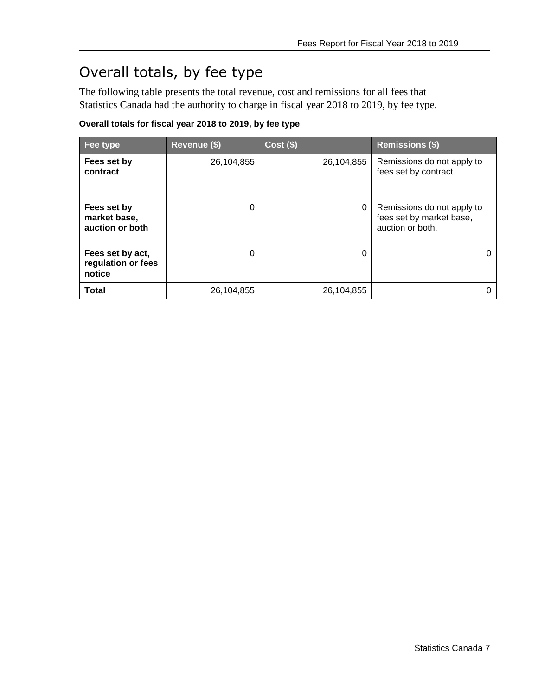## <span id="page-6-0"></span>Overall totals, by fee type

The following table presents the total revenue, cost and remissions for all fees that Statistics Canada had the authority to charge in fiscal year 2018 to 2019, by fee type.

#### **Overall totals for fiscal year 2018 to 2019, by fee type**

<span id="page-6-1"></span>

| Fee type                                         | Revenue (\$) | $Cost($ \$) | <b>Remissions (\$)</b>                                                     |
|--------------------------------------------------|--------------|-------------|----------------------------------------------------------------------------|
| Fees set by<br>contract                          | 26,104,855   | 26,104,855  | Remissions do not apply to<br>fees set by contract.                        |
| Fees set by<br>market base,<br>auction or both   | 0            | 0           | Remissions do not apply to<br>fees set by market base,<br>auction or both. |
| Fees set by act,<br>regulation or fees<br>notice | 0            | 0           |                                                                            |
| <b>Total</b>                                     | 26,104,855   | 26,104,855  |                                                                            |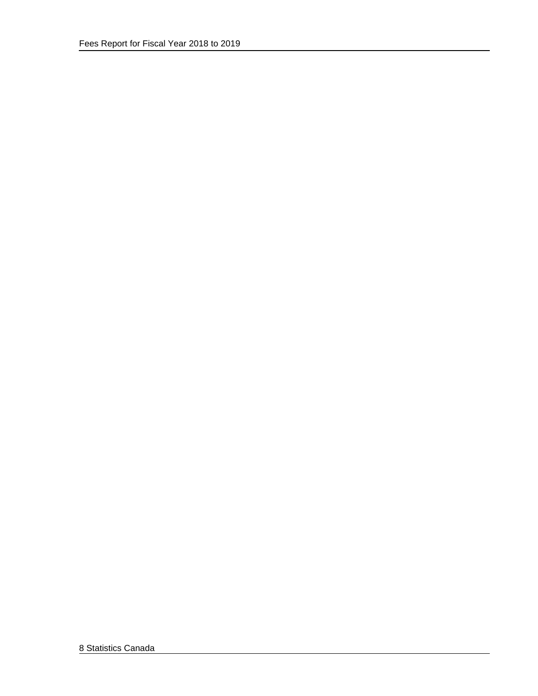8 Statistics Canada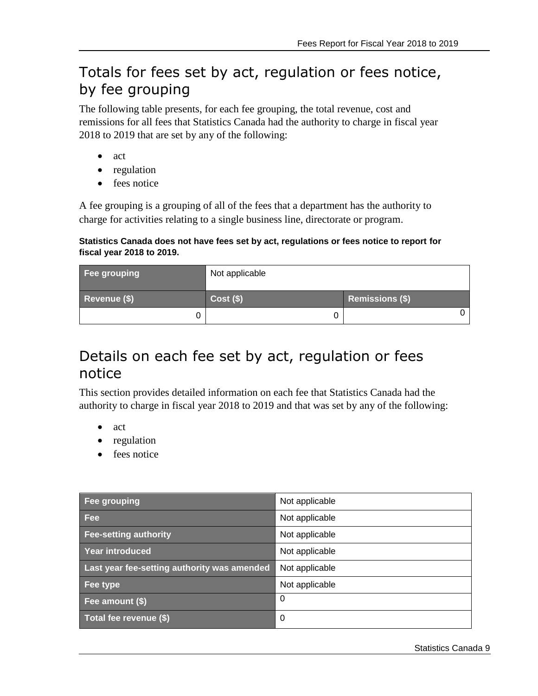### Totals for fees set by act, regulation or fees notice, by fee grouping

The following table presents, for each fee grouping, the total revenue, cost and remissions for all fees that Statistics Canada had the authority to charge in fiscal year 2018 to 2019 that are set by any of the following:

- act
- regulation
- fees notice

A fee grouping is a grouping of all of the fees that a department has the authority to charge for activities relating to a single business line, directorate or program.

#### **Statistics Canada does not have fees set by act, regulations or fees notice to report for fiscal year 2018 to 2019.**

| Fee grouping | Not applicable |                        |
|--------------|----------------|------------------------|
| Revenue (\$) | $Cost($ \$)    | <b>Remissions (\$)</b> |
|              |                |                        |

### <span id="page-8-0"></span>Details on each fee set by act, regulation or fees notice

This section provides detailed information on each fee that Statistics Canada had the authority to charge in fiscal year 2018 to 2019 and that was set by any of the following:

- act
- regulation
- fees notice

| Fee grouping                                | Not applicable |
|---------------------------------------------|----------------|
| <b>Fee</b>                                  | Not applicable |
| <b>Fee-setting authority</b>                | Not applicable |
| Year introduced                             | Not applicable |
| Last year fee-setting authority was amended | Not applicable |
| Fee type                                    | Not applicable |
| Fee amount (\$)                             | $\Omega$       |
| Total fee revenue (\$)                      | 0              |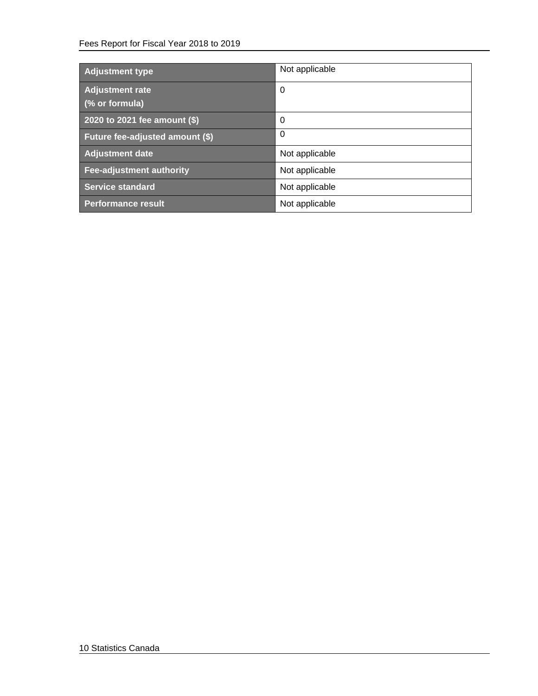#### Fees Report for Fiscal Year 2018 to 2019

| <b>Adjustment type</b>                           | Not applicable |
|--------------------------------------------------|----------------|
| <b>Adjustment rate</b><br>$\sqrt{2}$ or formula) | 0              |
| 2020 to 2021 fee amount (\$)                     | 0              |
| Future fee-adjusted amount (\$)                  | $\Omega$       |
| <b>Adjustment date</b>                           | Not applicable |
| <b>Fee-adjustment authority</b>                  | Not applicable |
| <b>Service standard</b>                          | Not applicable |
| Performance result                               | Not applicable |